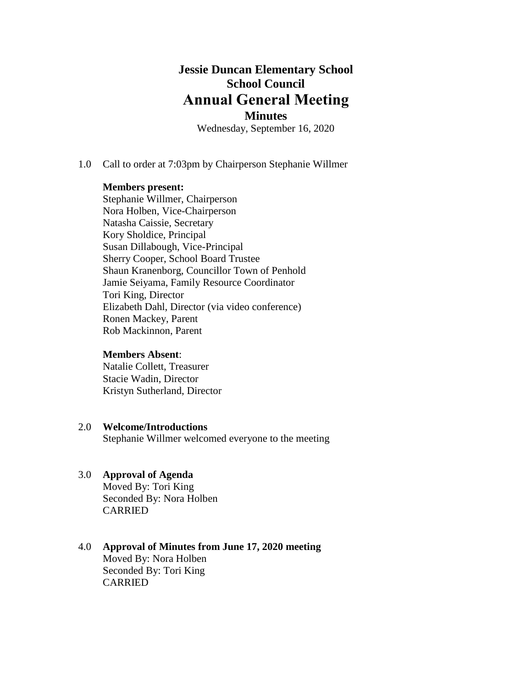# **Jessie Duncan Elementary School School Council Annual General Meeting**

# **Minutes**

Wednesday, September 16, 2020

1.0 Call to order at 7:03pm by Chairperson Stephanie Willmer

#### **Members present:**

Stephanie Willmer, Chairperson Nora Holben, Vice-Chairperson Natasha Caissie, Secretary Kory Sholdice, Principal Susan Dillabough, Vice-Principal Sherry Cooper, School Board Trustee Shaun Kranenborg, Councillor Town of Penhold Jamie Seiyama, Family Resource Coordinator Tori King, Director Elizabeth Dahl, Director (via video conference) Ronen Mackey, Parent Rob Mackinnon, Parent

#### **Members Absent**:

Natalie Collett, Treasurer Stacie Wadin, Director Kristyn Sutherland, Director

#### 2.0 **Welcome/Introductions**

Stephanie Willmer welcomed everyone to the meeting

#### 3.0 **Approval of Agenda**

Moved By: Tori King Seconded By: Nora Holben CARRIED

#### 4.0 **Approval of Minutes from June 17, 2020 meeting** Moved By: Nora Holben Seconded By: Tori King CARRIED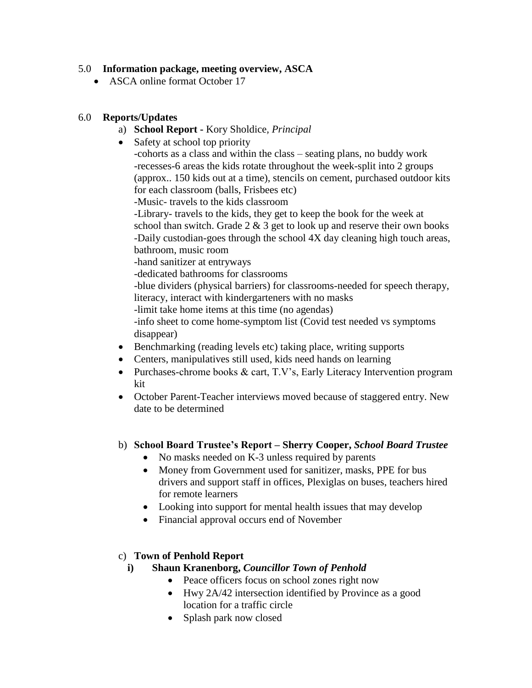## 5.0 **Information package, meeting overview, ASCA**

• ASCA online format October 17

## 6.0 **Reports/Updates**

- a) **School Report -** Kory Sholdice*, Principal*
- Safety at school top priority

-cohorts as a class and within the class – seating plans, no buddy work -recesses-6 areas the kids rotate throughout the week-split into 2 groups (approx.. 150 kids out at a time), stencils on cement, purchased outdoor kits for each classroom (balls, Frisbees etc)

-Music- travels to the kids classroom

-Library- travels to the kids, they get to keep the book for the week at school than switch. Grade  $2 \& 3$  get to look up and reserve their own books -Daily custodian-goes through the school 4X day cleaning high touch areas, bathroom, music room

-hand sanitizer at entryways

-dedicated bathrooms for classrooms

-blue dividers (physical barriers) for classrooms-needed for speech therapy, literacy, interact with kindergarteners with no masks

-limit take home items at this time (no agendas)

-info sheet to come home-symptom list (Covid test needed vs symptoms disappear)

- Benchmarking (reading levels etc) taking place, writing supports
- Centers, manipulatives still used, kids need hands on learning
- Purchases-chrome books & cart, T.V's, Early Literacy Intervention program kit
- October Parent-Teacher interviews moved because of staggered entry. New date to be determined
- b) **School Board Trustee's Report – Sherry Cooper,** *School Board Trustee*
	- No masks needed on K-3 unless required by parents
	- Money from Government used for sanitizer, masks, PPE for bus drivers and support staff in offices, Plexiglas on buses, teachers hired for remote learners
	- Looking into support for mental health issues that may develop
	- Financial approval occurs end of November

### c) **Town of Penhold Report**

### **i) Shaun Kranenborg,** *Councillor Town of Penhold*

- Peace officers focus on school zones right now
- Hwy 2A/42 intersection identified by Province as a good location for a traffic circle
- Splash park now closed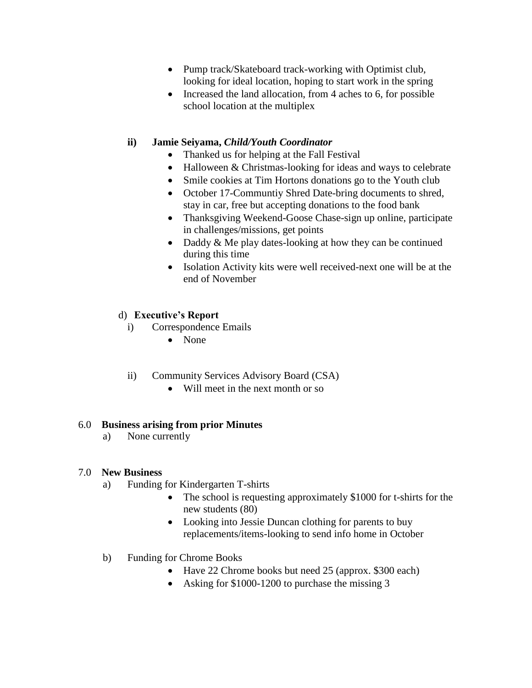- Pump track/Skateboard track-working with Optimist club, looking for ideal location, hoping to start work in the spring
- Increased the land allocation, from 4 aches to 6, for possible school location at the multiplex

## **ii) Jamie Seiyama,** *Child/Youth Coordinator*

- Thanked us for helping at the Fall Festival
- Halloween & Christmas-looking for ideas and ways to celebrate
- Smile cookies at Tim Hortons donations go to the Youth club
- October 17-Communtiy Shred Date-bring documents to shred, stay in car, free but accepting donations to the food bank
- Thanksgiving Weekend-Goose Chase-sign up online, participate in challenges/missions, get points
- Daddy  $&$  Me play dates-looking at how they can be continued during this time
- Isolation Activity kits were well received-next one will be at the end of November

## d) **Executive's Report**

- i) Correspondence Emails
	- None
- ii) Community Services Advisory Board (CSA)
	- Will meet in the next month or so

### 6.0 **Business arising from prior Minutes**

a) None currently

### 7.0 **New Business**

- a) Funding for Kindergarten T-shirts
	- The school is requesting approximately \$1000 for t-shirts for the new students (80)
	- Looking into Jessie Duncan clothing for parents to buy replacements/items-looking to send info home in October
- b) Funding for Chrome Books
	- Have 22 Chrome books but need 25 (approx. \$300 each)
	- Asking for \$1000-1200 to purchase the missing 3